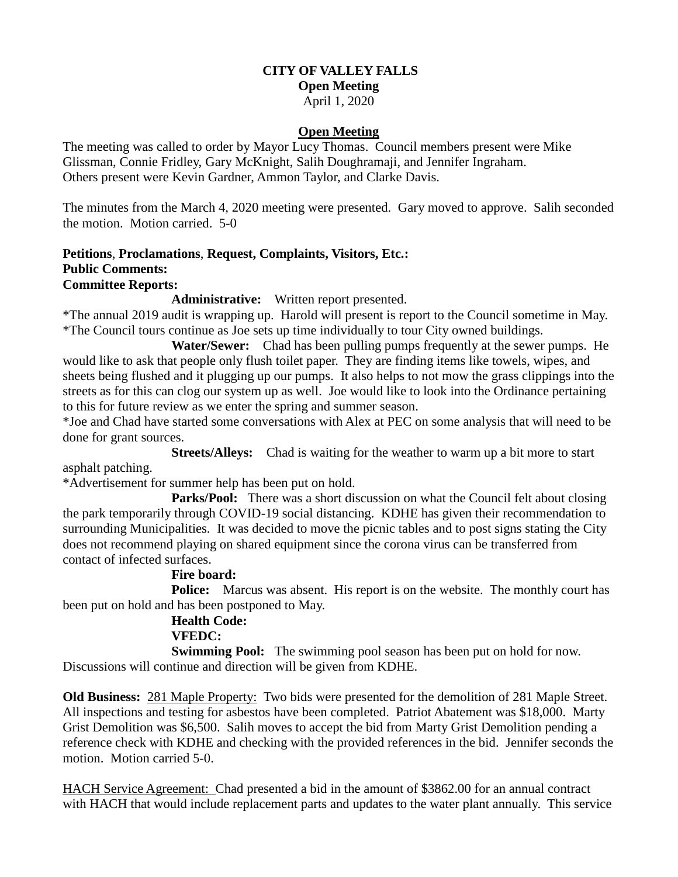# **CITY OF VALLEY FALLS**

## **Open Meeting**

April 1, 2020

### **Open Meeting**

The meeting was called to order by Mayor Lucy Thomas. Council members present were Mike Glissman, Connie Fridley, Gary McKnight, Salih Doughramaji, and Jennifer Ingraham. Others present were Kevin Gardner, Ammon Taylor, and Clarke Davis.

The minutes from the March 4, 2020 meeting were presented. Gary moved to approve. Salih seconded the motion. Motion carried. 5-0

#### **Petitions**, **Proclamations**, **Request, Complaints, Visitors, Etc.: Public Comments: Committee Reports:**

#### **Administrative:** Written report presented.

\*The annual 2019 audit is wrapping up. Harold will present is report to the Council sometime in May. \*The Council tours continue as Joe sets up time individually to tour City owned buildings.

 **Water/Sewer:** Chad has been pulling pumps frequently at the sewer pumps. He would like to ask that people only flush toilet paper. They are finding items like towels, wipes, and sheets being flushed and it plugging up our pumps. It also helps to not mow the grass clippings into the streets as for this can clog our system up as well. Joe would like to look into the Ordinance pertaining to this for future review as we enter the spring and summer season.

\*Joe and Chad have started some conversations with Alex at PEC on some analysis that will need to be done for grant sources.

 **Streets/Alleys:** Chad is waiting for the weather to warm up a bit more to start asphalt patching.

\*Advertisement for summer help has been put on hold.

Parks/Pool: There was a short discussion on what the Council felt about closing the park temporarily through COVID-19 social distancing. KDHE has given their recommendation to surrounding Municipalities. It was decided to move the picnic tables and to post signs stating the City does not recommend playing on shared equipment since the corona virus can be transferred from contact of infected surfaces.

### **Fire board:**

**Police:** Marcus was absent. His report is on the website. The monthly court has been put on hold and has been postponed to May.

#### **Health Code: VFEDC:**

**Swimming Pool:** The swimming pool season has been put on hold for now. Discussions will continue and direction will be given from KDHE.

**Old Business:** 281 Maple Property: Two bids were presented for the demolition of 281 Maple Street. All inspections and testing for asbestos have been completed. Patriot Abatement was \$18,000. Marty Grist Demolition was \$6,500. Salih moves to accept the bid from Marty Grist Demolition pending a reference check with KDHE and checking with the provided references in the bid. Jennifer seconds the motion. Motion carried 5-0.

HACH Service Agreement: Chad presented a bid in the amount of \$3862.00 for an annual contract with HACH that would include replacement parts and updates to the water plant annually. This service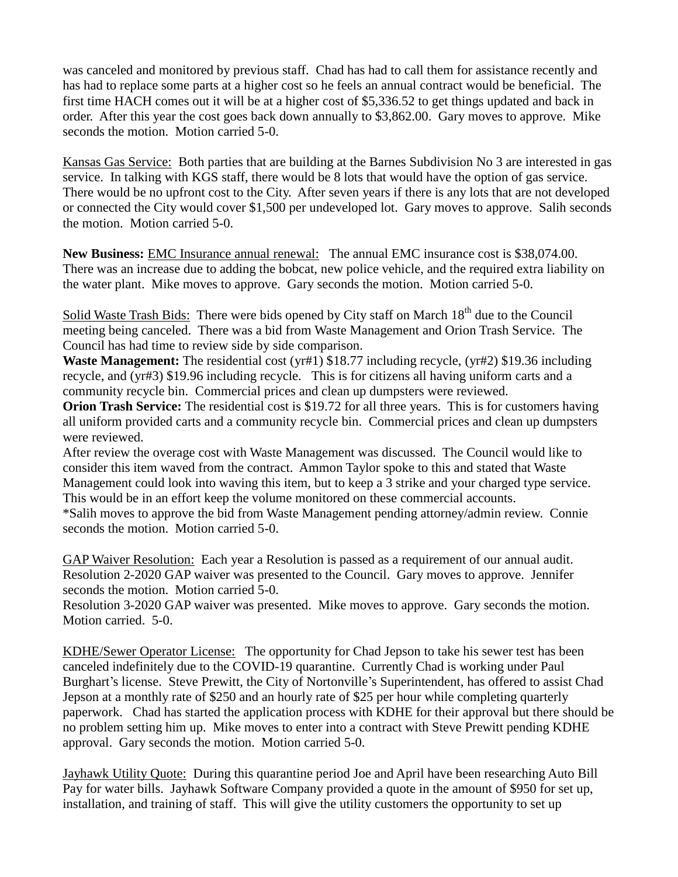was canceled and monitored by previous staff. Chad has had to call them for assistance recently and has had to replace some parts at a higher cost so he feels an annual contract would be beneficial. The first time HACH comes out it will be at a higher cost of \$5,336.52 to get things updated and back in order. After this year the cost goes back down annually to \$3,862.00. Gary moves to approve. Mike seconds the motion. Motion carried 5-0.

Kansas Gas Service: Both parties that are building at the Barnes Subdivision No 3 are interested in gas service. In talking with KGS staff, there would be 8 lots that would have the option of gas service. There would be no upfront cost to the City. After seven years if there is any lots that are not developed or connected the City would cover \$1,500 per undeveloped lot. Gary moves to approve. Salih seconds the motion. Motion carried 5-0.

**New Business:** EMC Insurance annual renewal: The annual EMC insurance cost is \$38,074.00. There was an increase due to adding the bobcat, new police vehicle, and the required extra liability on the water plant. Mike moves to approve. Gary seconds the motion. Motion carried 5-0.

Solid Waste Trash Bids: There were bids opened by City staff on March 18<sup>th</sup> due to the Council meeting being canceled. There was a bid from Waste Management and Orion Trash Service. The Council has had time to review side by side comparison.

**Waste Management:** The residential cost (yr#1) \$18.77 including recycle, (yr#2) \$19.36 including recycle, and (yr#3) \$19.96 including recycle. This is for citizens all having uniform carts and a community recycle bin. Commercial prices and clean up dumpsters were reviewed.

**Orion Trash Service:** The residential cost is \$19.72 for all three years. This is for customers having all uniform provided carts and a community recycle bin. Commercial prices and clean up dumpsters were reviewed.

After review the overage cost with Waste Management was discussed. The Council would like to consider this item waved from the contract. Ammon Taylor spoke to this and stated that Waste Management could look into waving this item, but to keep a 3 strike and your charged type service. This would be in an effort keep the volume monitored on these commercial accounts.

\*Salih moves to approve the bid from Waste Management pending attorney/admin review. Connie seconds the motion. Motion carried 5-0.

GAP Waiver Resolution: Each year a Resolution is passed as a requirement of our annual audit. Resolution 2-2020 GAP waiver was presented to the Council. Gary moves to approve. Jennifer seconds the motion. Motion carried 5-0.

Resolution 3-2020 GAP waiver was presented. Mike moves to approve. Gary seconds the motion. Motion carried. 5-0.

KDHE/Sewer Operator License: The opportunity for Chad Jepson to take his sewer test has been canceled indefinitely due to the COVID-19 quarantine. Currently Chad is working under Paul Burghart's license. Steve Prewitt, the City of Nortonville's Superintendent, has offered to assist Chad Jepson at a monthly rate of \$250 and an hourly rate of \$25 per hour while completing quarterly paperwork. Chad has started the application process with KDHE for their approval but there should be no problem setting him up. Mike moves to enter into a contract with Steve Prewitt pending KDHE approval. Gary seconds the motion. Motion carried 5-0.

Jayhawk Utility Quote: During this quarantine period Joe and April have been researching Auto Bill Pay for water bills. Jayhawk Software Company provided a quote in the amount of \$950 for set up, installation, and training of staff. This will give the utility customers the opportunity to set up